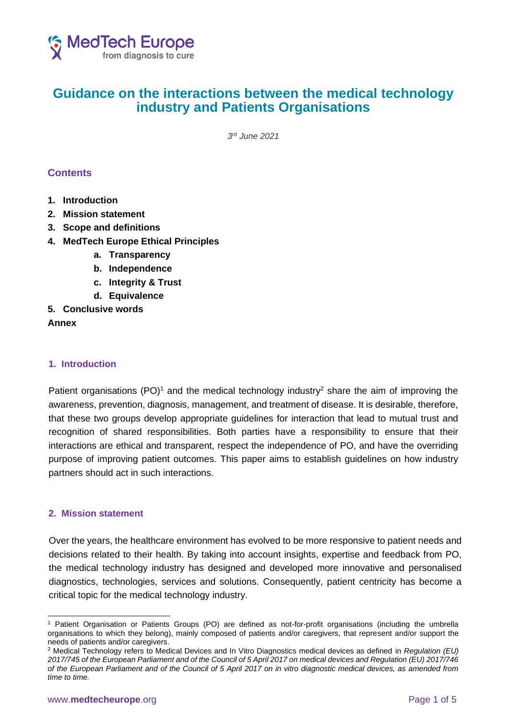

# **Guidance on the interactions between the medical technology industry and Patients Organisations**

*3 rd June 2021*

## **Contents**

- **1. Introduction**
- **2. Mission statement**
- **3. Scope and definitions**
- **4. MedTech Europe Ethical Principles**
	- **a. Transparency**
	- **b. Independence**
	- **c. Integrity & Trust**
	- **d. Equivalence**
- **5. Conclusive words**

#### **Annex**

## **1. Introduction**

Patient organisations (PO)<sup>1</sup> and the medical technology industry<sup>2</sup> share the aim of improving the awareness, prevention, diagnosis, management, and treatment of disease. It is desirable, therefore, that these two groups develop appropriate guidelines for interaction that lead to mutual trust and recognition of shared responsibilities. Both parties have a responsibility to ensure that their interactions are ethical and transparent, respect the independence of PO, and have the overriding purpose of improving patient outcomes. This paper aims to establish guidelines on how industry partners should act in such interactions.

#### **2. Mission statement**

Over the years, the healthcare environment has evolved to be more responsive to patient needs and decisions related to their health. By taking into account insights, expertise and feedback from PO, the medical technology industry has designed and developed more innovative and personalised diagnostics, technologies, services and solutions. Consequently, patient centricity has become a critical topic for the medical technology industry.

<sup>1</sup> Patient Organisation or Patients Groups (PO) are defined as not-for-profit organisations (including the umbrella organisations to which they belong), mainly composed of patients and/or caregivers, that represent and/or support the needs of patients and/or caregivers.

<sup>2</sup> Medical Technology refers to Medical Devices and In Vitro Diagnostics medical devices as defined in *Regulation (EU) 2017/745 of the European Parliament and of the Council of 5 April 2017 on medical devices and Regulation (EU) 2017/746 of the European Parliament and of the Council of 5 April 2017 on in vitro diagnostic medical devices, as amended from time to time.*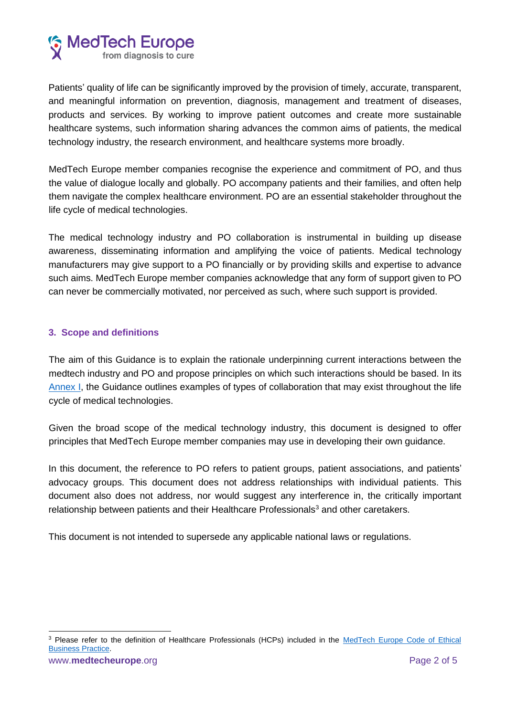

Patients' quality of life can be significantly improved by the provision of timely, accurate, transparent, and meaningful information on prevention, diagnosis, management and treatment of diseases, products and services. By working to improve patient outcomes and create more sustainable healthcare systems, such information sharing advances the common aims of patients, the medical technology industry, the research environment, and healthcare systems more broadly.

MedTech Europe member companies recognise the experience and commitment of PO, and thus the value of dialogue locally and globally. PO accompany patients and their families, and often help them navigate the complex healthcare environment. PO are an essential stakeholder throughout the life cycle of medical technologies.

The medical technology industry and PO collaboration is instrumental in building up disease awareness, disseminating information and amplifying the voice of patients. Medical technology manufacturers may give support to a PO financially or by providing skills and expertise to advance such aims. MedTech Europe member companies acknowledge that any form of support given to PO can never be commercially motivated, nor perceived as such, where such support is provided.

## **3. Scope and definitions**

The aim of this Guidance is to explain the rationale underpinning current interactions between the medtech industry and PO and propose principles on which such interactions should be based. In its [Annex I,](#page-4-0) the Guidance outlines examples of types of collaboration that may exist throughout the life cycle of medical technologies.

Given the broad scope of the medical technology industry, this document is designed to offer principles that MedTech Europe member companies may use in developing their own guidance.

In this document, the reference to PO refers to patient groups, patient associations, and patients' advocacy groups. This document does not address relationships with individual patients. This document also does not address, nor would suggest any interference in, the critically important relationship between patients and their Healthcare Professionals<sup>3</sup> and other caretakers.

This document is not intended to supersede any applicable national laws or regulations.

<sup>3</sup> Please refer to the definition of Healthcare Professionals (HCPs) included in the [MedTech Europe Code of Ethical](https://www.medtecheurope.org/resource-library/medtech-europe-code-of-ethical-business-practice/)  [Business Practice.](https://www.medtecheurope.org/resource-library/medtech-europe-code-of-ethical-business-practice/)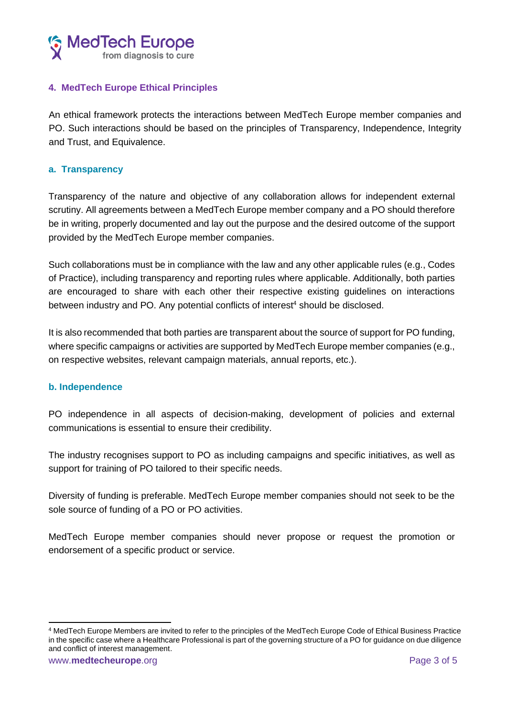

## **4. MedTech Europe Ethical Principles**

An ethical framework protects the interactions between MedTech Europe member companies and PO. Such interactions should be based on the principles of Transparency, Independence, Integrity and Trust, and Equivalence.

#### **a. Transparency**

Transparency of the nature and objective of any collaboration allows for independent external scrutiny. All agreements between a MedTech Europe member company and a PO should therefore be in writing, properly documented and lay out the purpose and the desired outcome of the support provided by the MedTech Europe member companies.

Such collaborations must be in compliance with the law and any other applicable rules (e.g., Codes of Practice), including transparency and reporting rules where applicable. Additionally, both parties are encouraged to share with each other their respective existing guidelines on interactions between industry and PO. Any potential conflicts of interest<sup>4</sup> should be disclosed.

It is also recommended that both parties are transparent about the source of support for PO funding, where specific campaigns or activities are supported by MedTech Europe member companies (e.g., on respective websites, relevant campaign materials, annual reports, etc.).

#### **b. Independence**

PO independence in all aspects of decision-making, development of policies and external communications is essential to ensure their credibility.

The industry recognises support to PO as including campaigns and specific initiatives, as well as support for training of PO tailored to their specific needs.

Diversity of funding is preferable. MedTech Europe member companies should not seek to be the sole source of funding of a PO or PO activities.

MedTech Europe member companies should never propose or request the promotion or endorsement of a specific product or service.

<sup>4</sup> MedTech Europe Members are invited to refer to the principles of the MedTech Europe Code of Ethical Business Practice in the specific case where a Healthcare Professional is part of the governing structure of a PO for guidance on due diligence and conflict of interest management.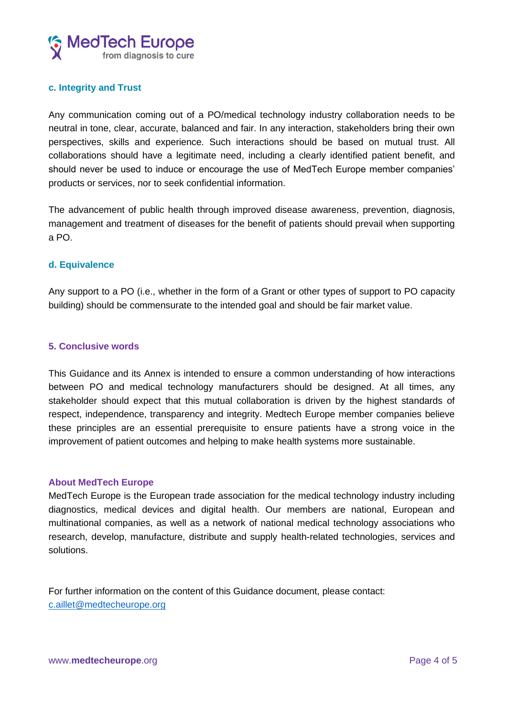

#### **c. Integrity and Trust**

Any communication coming out of a PO/medical technology industry collaboration needs to be neutral in tone, clear, accurate, balanced and fair. In any interaction, stakeholders bring their own perspectives, skills and experience. Such interactions should be based on mutual trust. All collaborations should have a legitimate need, including a clearly identified patient benefit, and should never be used to induce or encourage the use of MedTech Europe member companies' products or services, nor to seek confidential information.

The advancement of public health through improved disease awareness, prevention, diagnosis, management and treatment of diseases for the benefit of patients should prevail when supporting a PO.

#### **d. Equivalence**

Any support to a PO (i.e., whether in the form of a Grant or other types of support to PO capacity building) should be commensurate to the intended goal and should be fair market value.

#### **5. Conclusive words**

This Guidance and its Annex is intended to ensure a common understanding of how interactions between PO and medical technology manufacturers should be designed. At all times, any stakeholder should expect that this mutual collaboration is driven by the highest standards of respect, independence, transparency and integrity. Medtech Europe member companies believe these principles are an essential prerequisite to ensure patients have a strong voice in the improvement of patient outcomes and helping to make health systems more sustainable.

#### **About MedTech Europe**

MedTech Europe is the European trade association for the medical technology industry including diagnostics, medical devices and digital health. Our members are national, European and multinational companies, as well as a network of national medical technology associations who research, develop, manufacture, distribute and supply health-related technologies, services and solutions.

For further information on the content of this Guidance document, please contact: [c.aillet@medtecheurope.org](mailto:c.aillet@medtecheurope.org)